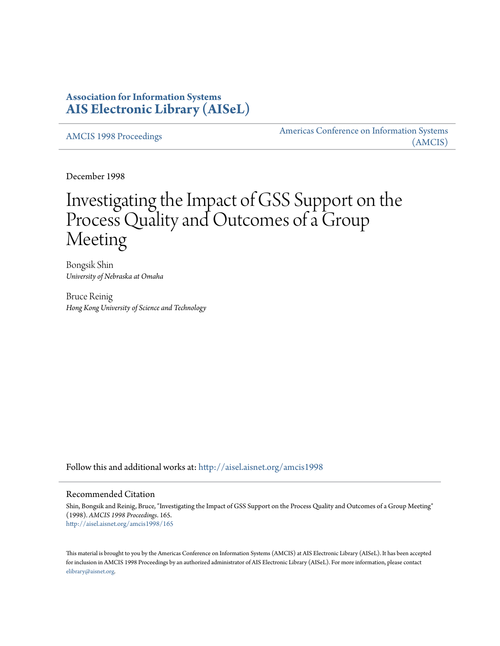# **Association for Information Systems [AIS Electronic Library \(AISeL\)](http://aisel.aisnet.org?utm_source=aisel.aisnet.org%2Famcis1998%2F165&utm_medium=PDF&utm_campaign=PDFCoverPages)**

[AMCIS 1998 Proceedings](http://aisel.aisnet.org/amcis1998?utm_source=aisel.aisnet.org%2Famcis1998%2F165&utm_medium=PDF&utm_campaign=PDFCoverPages)

[Americas Conference on Information Systems](http://aisel.aisnet.org/amcis?utm_source=aisel.aisnet.org%2Famcis1998%2F165&utm_medium=PDF&utm_campaign=PDFCoverPages) [\(AMCIS\)](http://aisel.aisnet.org/amcis?utm_source=aisel.aisnet.org%2Famcis1998%2F165&utm_medium=PDF&utm_campaign=PDFCoverPages)

December 1998

# Investigating the Impact of GSS Support on the Process Quality and Outcomes of a Group Meeting

Bongsik Shin *University of Nebraska at Omaha*

Bruce Reinig *Hong Kong University of Science and Technology*

Follow this and additional works at: [http://aisel.aisnet.org/amcis1998](http://aisel.aisnet.org/amcis1998?utm_source=aisel.aisnet.org%2Famcis1998%2F165&utm_medium=PDF&utm_campaign=PDFCoverPages)

#### Recommended Citation

Shin, Bongsik and Reinig, Bruce, "Investigating the Impact of GSS Support on the Process Quality and Outcomes of a Group Meeting" (1998). *AMCIS 1998 Proceedings*. 165. [http://aisel.aisnet.org/amcis1998/165](http://aisel.aisnet.org/amcis1998/165?utm_source=aisel.aisnet.org%2Famcis1998%2F165&utm_medium=PDF&utm_campaign=PDFCoverPages)

This material is brought to you by the Americas Conference on Information Systems (AMCIS) at AIS Electronic Library (AISeL). It has been accepted for inclusion in AMCIS 1998 Proceedings by an authorized administrator of AIS Electronic Library (AISeL). For more information, please contact [elibrary@aisnet.org.](mailto:elibrary@aisnet.org%3E)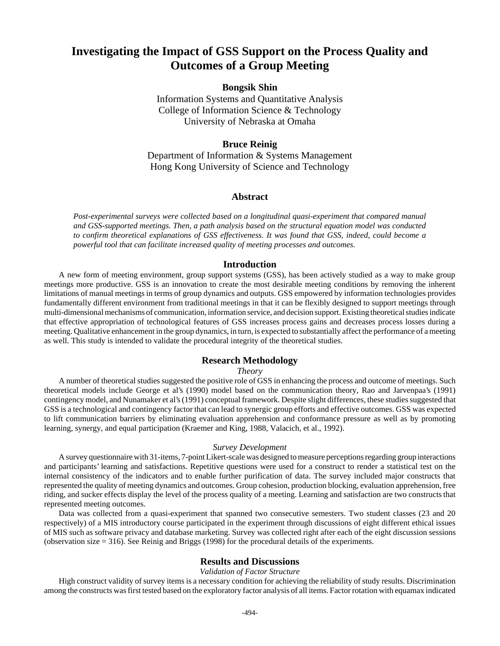# **Investigating the Impact of GSS Support on the Process Quality and Outcomes of a Group Meeting**

# **Bongsik Shin**

Information Systems and Quantitative Analysis College of Information Science & Technology University of Nebraska at Omaha

## **Bruce Reinig**

Department of Information & Systems Management Hong Kong University of Science and Technology

## **Abstract**

*Post-experimental surveys were collected based on a longitudinal quasi-experiment that compared manual and GSS-supported meetings. Then, a path analysis based on the structural equation model was conducted to confirm theoretical explanations of GSS effectiveness. It was found that GSS, indeed, could become a powerful tool that can facilitate increased quality of meeting processes and outcomes.* 

#### **Introduction**

A new form of meeting environment, group support systems (GSS), has been actively studied as a way to make group meetings more productive. GSS is an innovation to create the most desirable meeting conditions by removing the inherent limitations of manual meetings in terms of group dynamics and outputs. GSS empowered by information technologies provides fundamentally different environment from traditional meetings in that it can be flexibly designed to support meetings through multi-dimensional mechanisms of communication, information service, and decision support. Existing theoretical studies indicate that effective appropriation of technological features of GSS increases process gains and decreases process losses during a meeting. Qualitative enhancement in the group dynamics, in turn, is expected to substantially affect the performance of a meeting as well. This study is intended to validate the procedural integrity of the theoretical studies.

#### **Research Methodology**

#### *Theory*

A number of theoretical studies suggested the positive role of GSS in enhancing the process and outcome of meetings. Such theoretical models include George et al's (1990) model based on the communication theory, Rao and Jarvenpaa's (1991) contingency model, and Nunamaker et al's (1991) conceptual framework. Despite slight differences, these studies suggested that GSS is a technological and contingency factor that can lead to synergic group efforts and effective outcomes. GSS was expected to lift communication barriers by eliminating evaluation apprehension and conformance pressure as well as by promoting learning, synergy, and equal participation (Kraemer and King, 1988, Valacich, et al., 1992).

#### *Survey Development*

A survey questionnaire with 31-items, 7-point Likert-scale was designed to measure perceptions regarding group interactions and participants' learning and satisfactions. Repetitive questions were used for a construct to render a statistical test on the internal consistency of the indicators and to enable further purification of data. The survey included major constructs that represented the quality of meeting dynamics and outcomes. Group cohesion, production blocking, evaluation apprehension, free riding, and sucker effects display the level of the process quality of a meeting. Learning and satisfaction are two constructs that represented meeting outcomes.

Data was collected from a quasi-experiment that spanned two consecutive semesters. Two student classes (23 and 20 respectively) of a MIS introductory course participated in the experiment through discussions of eight different ethical issues of MIS such as software privacy and database marketing. Survey was collected right after each of the eight discussion sessions (observation size = 316). See Reinig and Briggs (1998) for the procedural details of the experiments.

#### **Results and Discussions**

#### *Validation of Factor Structure*

High construct validity of survey items is a necessary condition for achieving the reliability of study results. Discrimination among the constructs was first tested based on the exploratory factor analysis of all items. Factor rotation with equamax indicated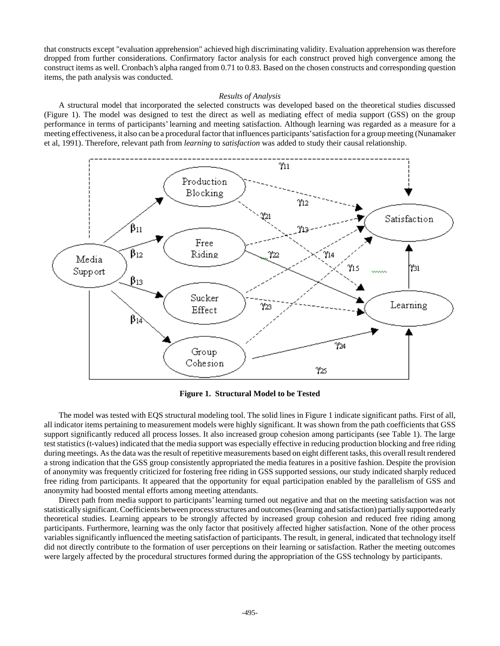that constructs except "evaluation apprehension" achieved high discriminating validity. Evaluation apprehension was therefore dropped from further considerations. Confirmatory factor analysis for each construct proved high convergence among the construct items as well. Cronbach's alpha ranged from 0.71 to 0.83. Based on the chosen constructs and corresponding question items, the path analysis was conducted.

#### *Results of Analysis*

A structural model that incorporated the selected constructs was developed based on the theoretical studies discussed (Figure 1). The model was designed to test the direct as well as mediating effect of media support (GSS) on the group performance in terms of participants' learning and meeting satisfaction. Although learning was regarded as a measure for a meeting effectiveness, it also can be a procedural factor that influences participants' satisfaction for a group meeting (Nunamaker et al, 1991). Therefore, relevant path from *learning* to *satisfaction* was added to study their causal relationship.



**Figure 1. Structural Model to be Tested**

The model was tested with EQS structural modeling tool. The solid lines in Figure 1 indicate significant paths. First of all, all indicator items pertaining to measurement models were highly significant. It was shown from the path coefficients that GSS support significantly reduced all process losses. It also increased group cohesion among participants (see Table 1). The large test statistics (t-values) indicated that the media support was especially effective in reducing production blocking and free riding during meetings. As the data was the result of repetitive measurements based on eight different tasks, this overall result rendered a strong indication that the GSS group consistently appropriated the media features in a positive fashion. Despite the provision of anonymity was frequently criticized for fostering free riding in GSS supported sessions, our study indicated sharply reduced free riding from participants. It appeared that the opportunity for equal participation enabled by the parallelism of GSS and anonymity had boosted mental efforts among meeting attendants.

Direct path from media support to participants' learning turned out negative and that on the meeting satisfaction was not statistically significant. Coefficients between process structures and outcomes (learning and satisfaction) partially supported early theoretical studies. Learning appears to be strongly affected by increased group cohesion and reduced free riding among participants. Furthermore, learning was the only factor that positively affected higher satisfaction. None of the other process variables significantly influenced the meeting satisfaction of participants. The result, in general, indicated that technology itself did not directly contribute to the formation of user perceptions on their learning or satisfaction. Rather the meeting outcomes were largely affected by the procedural structures formed during the appropriation of the GSS technology by participants.